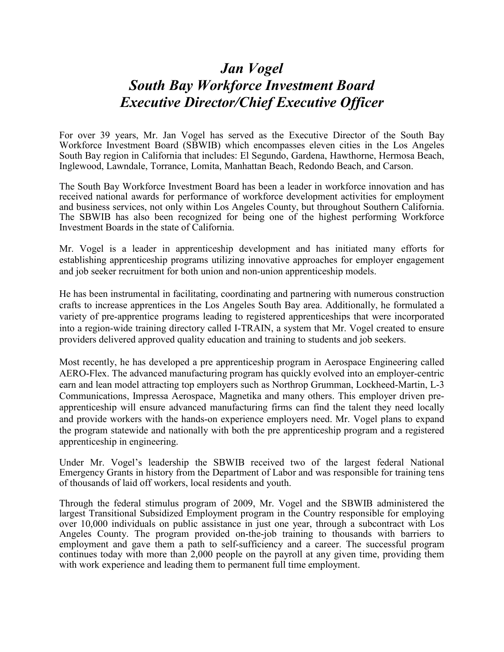## *Jan Vogel South Bay Workforce Investment Board Executive Director/Chief Executive Officer*

For over 39 years, Mr. Jan Vogel has served as the Executive Director of the South Bay Workforce Investment Board (SBWIB) which encompasses eleven cities in the Los Angeles South Bay region in California that includes: El Segundo, Gardena, Hawthorne, Hermosa Beach, Inglewood, Lawndale, Torrance, Lomita, Manhattan Beach, Redondo Beach, and Carson.

The South Bay Workforce Investment Board has been a leader in workforce innovation and has received national awards for performance of workforce development activities for employment and business services, not only within Los Angeles County, but throughout Southern California. The SBWIB has also been recognized for being one of the highest performing Workforce Investment Boards in the state of California.

Mr. Vogel is a leader in apprenticeship development and has initiated many efforts for establishing apprenticeship programs utilizing innovative approaches for employer engagement and job seeker recruitment for both union and non-union apprenticeship models.

He has been instrumental in facilitating, coordinating and partnering with numerous construction crafts to increase apprentices in the Los Angeles South Bay area. Additionally, he formulated a variety of pre-apprentice programs leading to registered apprenticeships that were incorporated into a region-wide training directory called I-TRAIN, a system that Mr. Vogel created to ensure providers delivered approved quality education and training to students and job seekers.

Most recently, he has developed a pre apprenticeship program in Aerospace Engineering called AERO-Flex. The advanced manufacturing program has quickly evolved into an employer-centric earn and lean model attracting top employers such as Northrop Grumman, Lockheed-Martin, L-3 Communications, Impressa Aerospace, Magnetika and many others. This employer driven preapprenticeship will ensure advanced manufacturing firms can find the talent they need locally and provide workers with the hands-on experience employers need. Mr. Vogel plans to expand the program statewide and nationally with both the pre apprenticeship program and a registered apprenticeship in engineering.

Under Mr. Vogel's leadership the SBWIB received two of the largest federal National Emergency Grants in history from the Department of Labor and was responsible for training tens of thousands of laid off workers, local residents and youth.

Through the federal stimulus program of 2009, Mr. Vogel and the SBWIB administered the largest Transitional Subsidized Employment program in the Country responsible for employing over 10,000 individuals on public assistance in just one year, through a subcontract with Los Angeles County. The program provided on-the-job training to thousands with barriers to employment and gave them a path to self-sufficiency and a career. The successful program continues today with more than 2,000 people on the payroll at any given time, providing them with work experience and leading them to permanent full time employment.